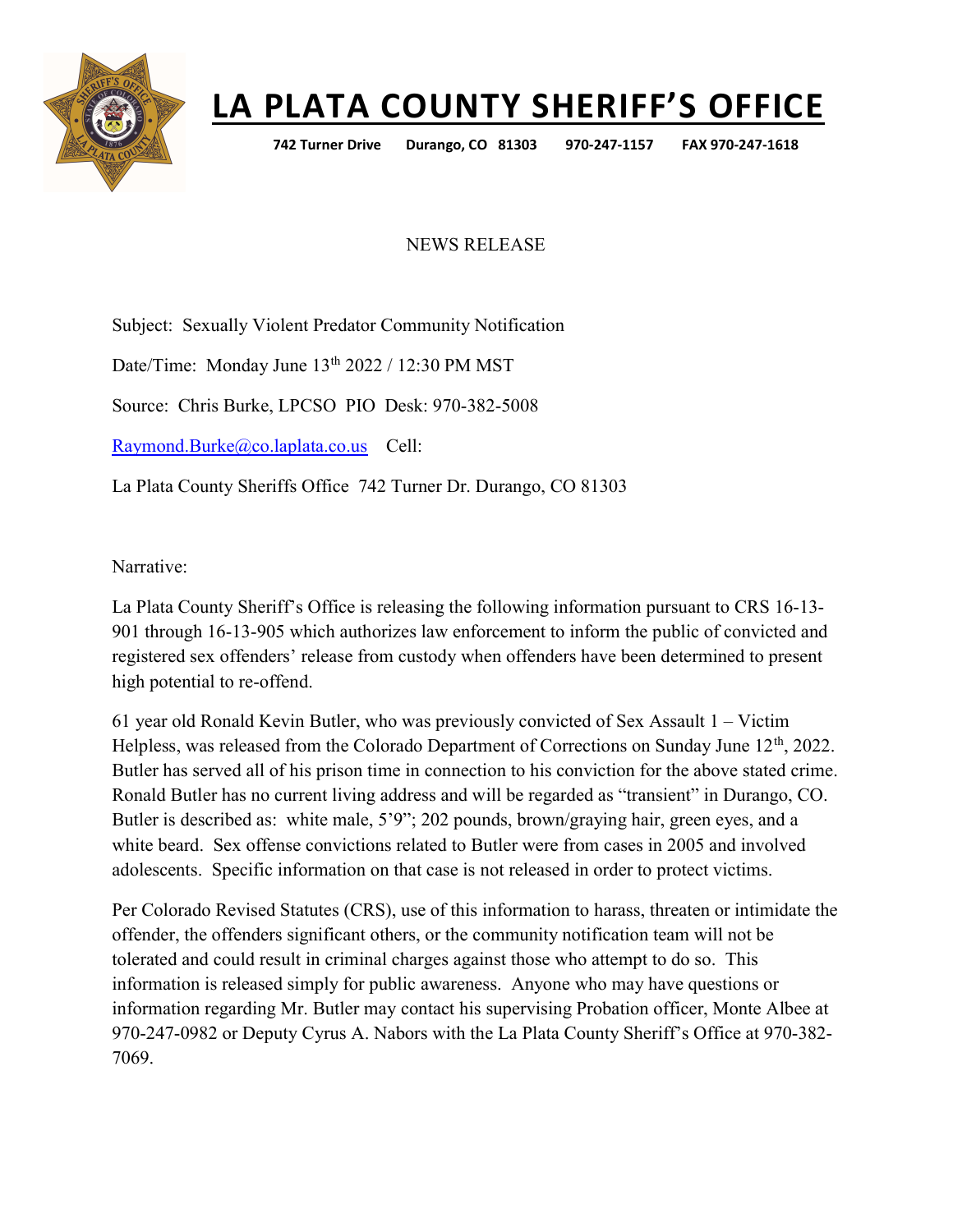

## LA PLATA COUNTY SHERIFF'S OFFICE

742 Turner Drive Durango, CO 81303 970-247-1157 FAX 970-247-1618

## NEWS RELEASE

Subject: Sexually Violent Predator Community Notification

Date/Time: Monday June 13<sup>th</sup> 2022 / 12:30 PM MST

Source: Chris Burke, LPCSO PIO Desk: 970-382-5008

Raymond.Burke@co.laplata.co.us Cell:

La Plata County Sheriffs Office 742 Turner Dr. Durango, CO 81303

Narrative:

La Plata County Sheriff's Office is releasing the following information pursuant to CRS 16-13- 901 through 16-13-905 which authorizes law enforcement to inform the public of convicted and registered sex offenders' release from custody when offenders have been determined to present high potential to re-offend.

61 year old Ronald Kevin Butler, who was previously convicted of Sex Assault 1 – Victim Helpless, was released from the Colorado Department of Corrections on Sunday June 12<sup>th</sup>, 2022. Butler has served all of his prison time in connection to his conviction for the above stated crime. Ronald Butler has no current living address and will be regarded as "transient" in Durango, CO. Butler is described as: white male, 5'9"; 202 pounds, brown/graying hair, green eyes, and a white beard. Sex offense convictions related to Butler were from cases in 2005 and involved adolescents. Specific information on that case is not released in order to protect victims.

Per Colorado Revised Statutes (CRS), use of this information to harass, threaten or intimidate the offender, the offenders significant others, or the community notification team will not be tolerated and could result in criminal charges against those who attempt to do so. This information is released simply for public awareness. Anyone who may have questions or information regarding Mr. Butler may contact his supervising Probation officer, Monte Albee at 970-247-0982 or Deputy Cyrus A. Nabors with the La Plata County Sheriff's Office at 970-382- 7069.